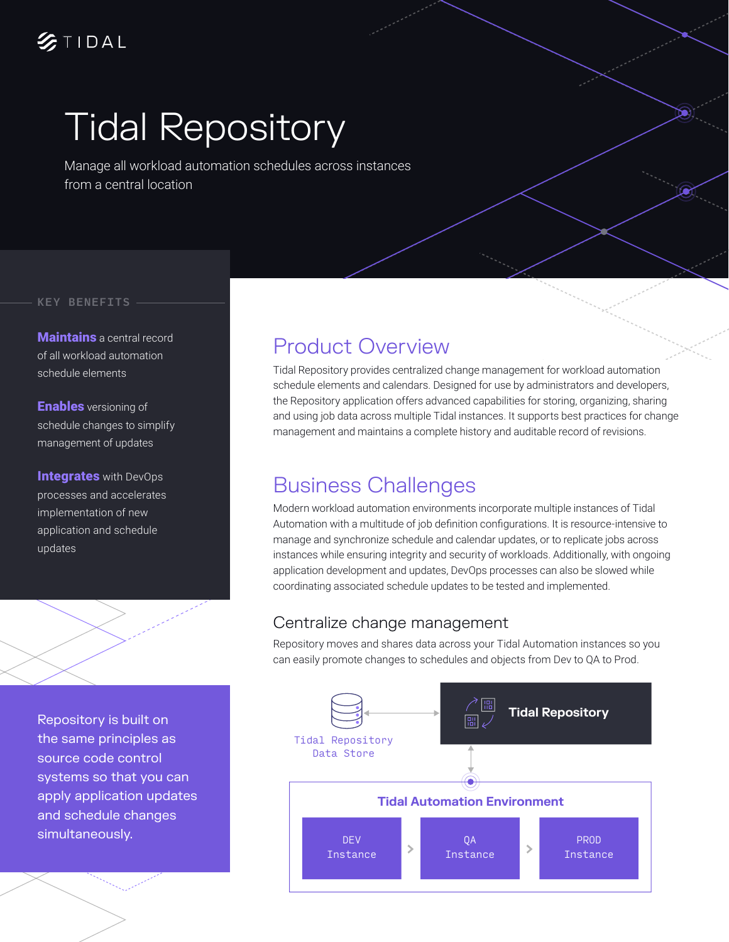# Tidal Repository

Manage all workload automation schedules across instances from a central location

#### KEY BENEFITS

**Maintains** a central record of all workload automation schedule elements

**Enables** versioning of schedule changes to simplify management of updates

**Integrates with DevOps** processes and accelerates implementation of new application and schedule updates

Repository is built on the same principles as source code control systems so that you can apply application updates and schedule changes simultaneously.

### Product Overview

Tidal Repository provides centralized change management for workload automation schedule elements and calendars. Designed for use by administrators and developers, the Repository application offers advanced capabilities for storing, organizing, sharing and using job data across multiple Tidal instances. It supports best practices for change management and maintains a complete history and auditable record of revisions.

#### Business Challenges

Modern workload automation environments incorporate multiple instances of Tidal Automation with a multitude of job definition configurations. It is resource-intensive to manage and synchronize schedule and calendar updates, or to replicate jobs across instances while ensuring integrity and security of workloads. Additionally, with ongoing application development and updates, DevOps processes can also be slowed while coordinating associated schedule updates to be tested and implemented.

#### Centralize change management

Repository moves and shares data across your Tidal Automation instances so you can easily promote changes to schedules and objects from Dev to QA to Prod.

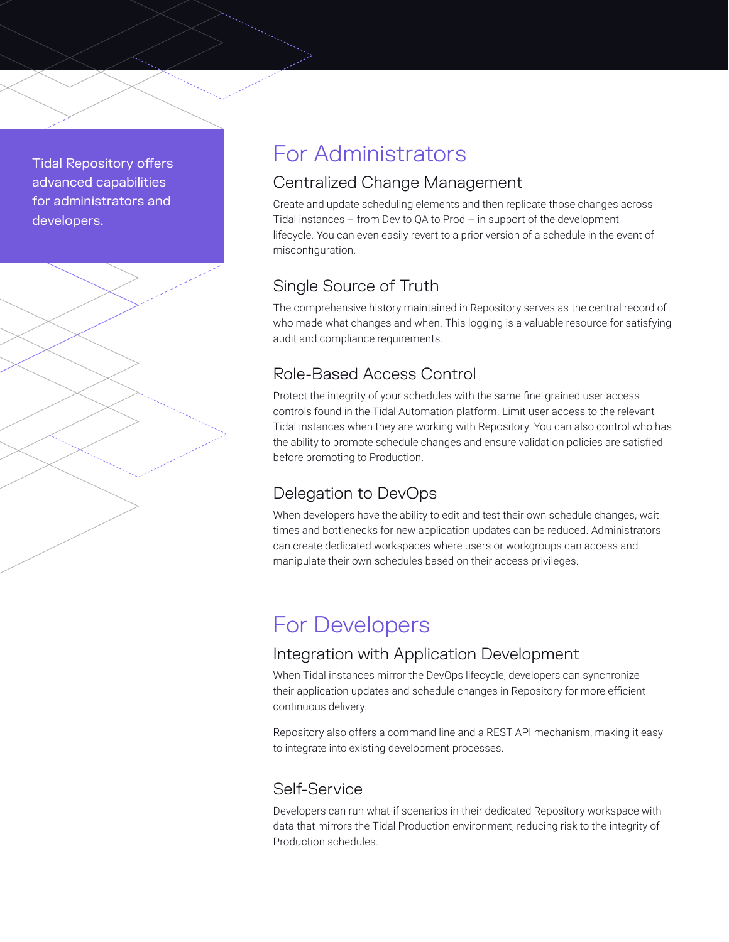Tidal Repository offers advanced capabilities for administrators and developers.



## For Administrators

#### Centralized Change Management

Create and update scheduling elements and then replicate those changes across Tidal instances – from Dev to QA to Prod – in support of the development lifecycle. You can even easily revert to a prior version of a schedule in the event of misconfiguration.

#### Single Source of Truth

The comprehensive history maintained in Repository serves as the central record of who made what changes and when. This logging is a valuable resource for satisfying audit and compliance requirements.

#### Role-Based Access Control

Protect the integrity of your schedules with the same fine-grained user access controls found in the Tidal Automation platform. Limit user access to the relevant Tidal instances when they are working with Repository. You can also control who has the ability to promote schedule changes and ensure validation policies are satisfied before promoting to Production.

#### Delegation to DevOps

When developers have the ability to edit and test their own schedule changes, wait times and bottlenecks for new application updates can be reduced. Administrators can create dedicated workspaces where users or workgroups can access and manipulate their own schedules based on their access privileges.

## For Developers

#### Integration with Application Development

When Tidal instances mirror the DevOps lifecycle, developers can synchronize their application updates and schedule changes in Repository for more efficient continuous delivery.

Repository also offers a command line and a REST API mechanism, making it easy to integrate into existing development processes.

#### Self-Service

Developers can run what-if scenarios in their dedicated Repository workspace with data that mirrors the Tidal Production environment, reducing risk to the integrity of Production schedules.